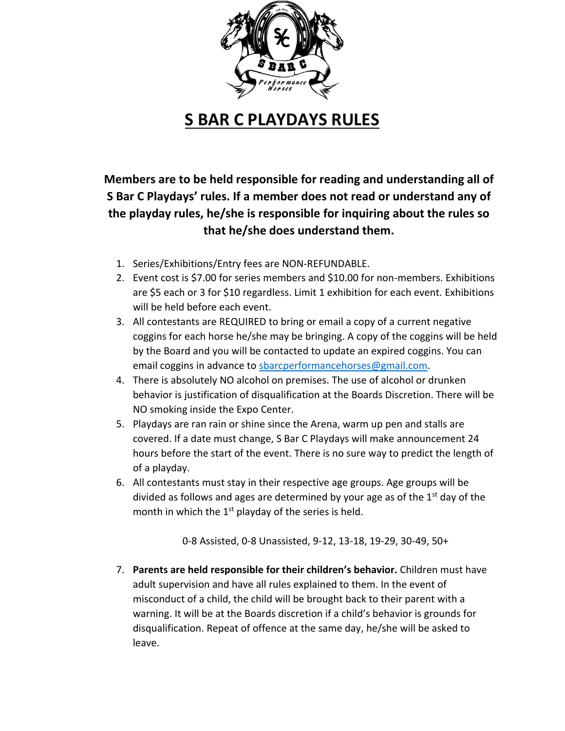

## **S BAR C PLAYDAYS RULES**

**Members are to be held responsible for reading and understanding all of S Bar C Playdays' rules. If a member does not read or understand any of the playday rules, he/she is responsible for inquiring about the rules so that he/she does understand them.**

- 1. Series/Exhibitions/Entry fees are NON-REFUNDABLE.
- 2. Event cost is \$7.00 for series members and \$10.00 for non-members. Exhibitions are \$5 each or 3 for \$10 regardless. Limit 1 exhibition for each event. Exhibitions will be held before each event.
- 3. All contestants are REQUIRED to bring or email a copy of a current negative coggins for each horse he/she may be bringing. A copy of the coggins will be held by the Board and you will be contacted to update an expired coggins. You can email coggins in advance to [sbarcperformancehorses@gmail.com.](mailto:sbarcperformancehorses@gmail.com)
- 4. There is absolutely NO alcohol on premises. The use of alcohol or drunken behavior is justification of disqualification at the Boards Discretion. There will be NO smoking inside the Expo Center.
- 5. Playdays are ran rain or shine since the Arena, warm up pen and stalls are covered. If a date must change, S Bar C Playdays will make announcement 24 hours before the start of the event. There is no sure way to predict the length of of a playday.
- 6. All contestants must stay in their respective age groups. Age groups will be divided as follows and ages are determined by your age as of the  $1<sup>st</sup>$  day of the month in which the  $1<sup>st</sup>$  playday of the series is held.

0-8 Assisted, 0-8 Unassisted, 9-12, 13-18, 19-29, 30-49, 50+

7. **Parents are held responsible for their children's behavior.** Children must have adult supervision and have all rules explained to them. In the event of misconduct of a child, the child will be brought back to their parent with a warning. It will be at the Boards discretion if a child's behavior is grounds for disqualification. Repeat of offence at the same day, he/she will be asked to leave.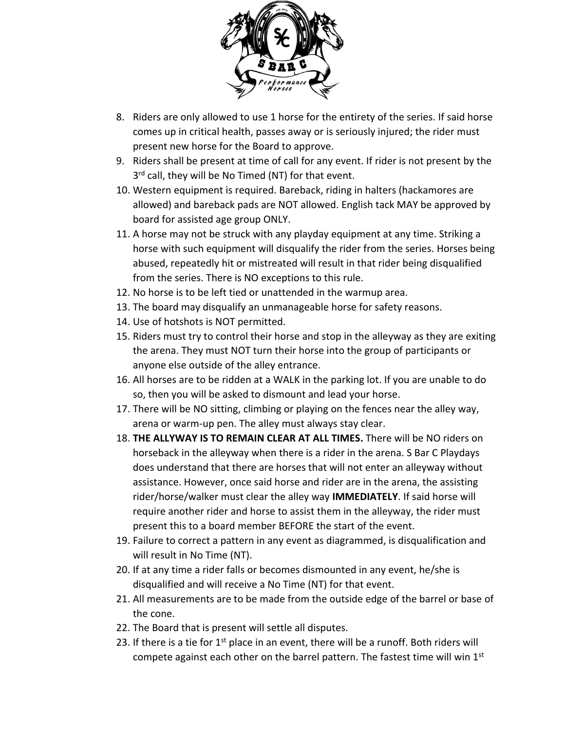

- 8. Riders are only allowed to use 1 horse for the entirety of the series. If said horse comes up in critical health, passes away or is seriously injured; the rider must present new horse for the Board to approve.
- 9. Riders shall be present at time of call for any event. If rider is not present by the 3<sup>rd</sup> call, they will be No Timed (NT) for that event.
- 10. Western equipment is required. Bareback, riding in halters (hackamores are allowed) and bareback pads are NOT allowed. English tack MAY be approved by board for assisted age group ONLY.
- 11. A horse may not be struck with any playday equipment at any time. Striking a horse with such equipment will disqualify the rider from the series. Horses being abused, repeatedly hit or mistreated will result in that rider being disqualified from the series. There is NO exceptions to this rule.
- 12. No horse is to be left tied or unattended in the warmup area.
- 13. The board may disqualify an unmanageable horse for safety reasons.
- 14. Use of hotshots is NOT permitted.
- 15. Riders must try to control their horse and stop in the alleyway as they are exiting the arena. They must NOT turn their horse into the group of participants or anyone else outside of the alley entrance.
- 16. All horses are to be ridden at a WALK in the parking lot. If you are unable to do so, then you will be asked to dismount and lead your horse.
- 17. There will be NO sitting, climbing or playing on the fences near the alley way, arena or warm-up pen. The alley must always stay clear.
- 18. **THE ALLYWAY IS TO REMAIN CLEAR AT ALL TIMES.** There will be NO riders on horseback in the alleyway when there is a rider in the arena. S Bar C Playdays does understand that there are horses that will not enter an alleyway without assistance. However, once said horse and rider are in the arena, the assisting rider/horse/walker must clear the alley way **IMMEDIATELY**. If said horse will require another rider and horse to assist them in the alleyway, the rider must present this to a board member BEFORE the start of the event.
- 19. Failure to correct a pattern in any event as diagrammed, is disqualification and will result in No Time (NT).
- 20. If at any time a rider falls or becomes dismounted in any event, he/she is disqualified and will receive a No Time (NT) for that event.
- 21. All measurements are to be made from the outside edge of the barrel or base of the cone.
- 22. The Board that is present will settle all disputes.
- 23. If there is a tie for  $1<sup>st</sup>$  place in an event, there will be a runoff. Both riders will compete against each other on the barrel pattern. The fastest time will win  $1<sup>st</sup>$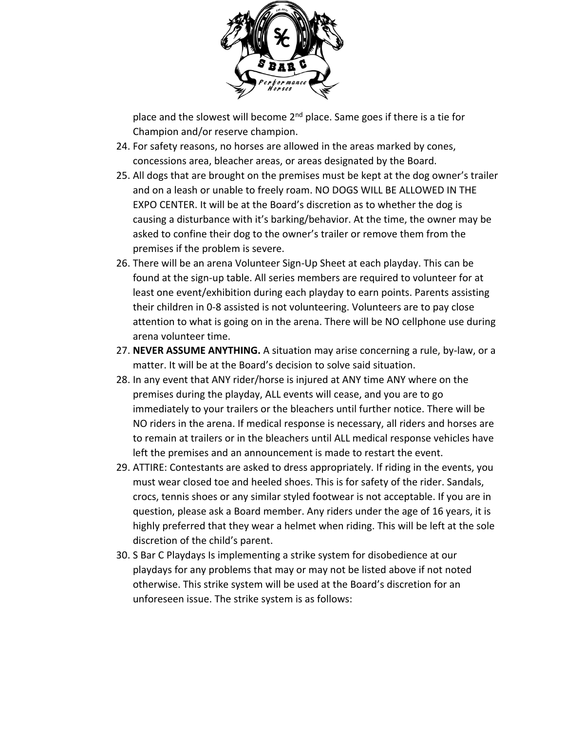

place and the slowest will become 2<sup>nd</sup> place. Same goes if there is a tie for Champion and/or reserve champion.

- 24. For safety reasons, no horses are allowed in the areas marked by cones, concessions area, bleacher areas, or areas designated by the Board.
- 25. All dogs that are brought on the premises must be kept at the dog owner's trailer and on a leash or unable to freely roam. NO DOGS WILL BE ALLOWED IN THE EXPO CENTER. It will be at the Board's discretion as to whether the dog is causing a disturbance with it's barking/behavior. At the time, the owner may be asked to confine their dog to the owner's trailer or remove them from the premises if the problem is severe.
- 26. There will be an arena Volunteer Sign-Up Sheet at each playday. This can be found at the sign-up table. All series members are required to volunteer for at least one event/exhibition during each playday to earn points. Parents assisting their children in 0-8 assisted is not volunteering. Volunteers are to pay close attention to what is going on in the arena. There will be NO cellphone use during arena volunteer time.
- 27. **NEVER ASSUME ANYTHING.** A situation may arise concerning a rule, by-law, or a matter. It will be at the Board's decision to solve said situation.
- 28. In any event that ANY rider/horse is injured at ANY time ANY where on the premises during the playday, ALL events will cease, and you are to go immediately to your trailers or the bleachers until further notice. There will be NO riders in the arena. If medical response is necessary, all riders and horses are to remain at trailers or in the bleachers until ALL medical response vehicles have left the premises and an announcement is made to restart the event.
- 29. ATTIRE: Contestants are asked to dress appropriately. If riding in the events, you must wear closed toe and heeled shoes. This is for safety of the rider. Sandals, crocs, tennis shoes or any similar styled footwear is not acceptable. If you are in question, please ask a Board member. Any riders under the age of 16 years, it is highly preferred that they wear a helmet when riding. This will be left at the sole discretion of the child's parent.
- 30. S Bar C Playdays Is implementing a strike system for disobedience at our playdays for any problems that may or may not be listed above if not noted otherwise. This strike system will be used at the Board's discretion for an unforeseen issue. The strike system is as follows: